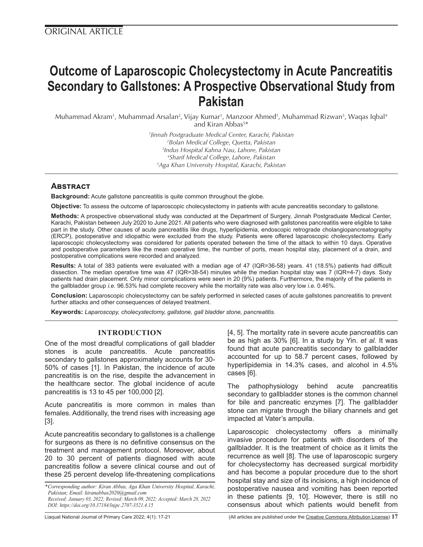# **Outcome of Laparoscopic Cholecystectomy in Acute Pancreatitis Secondary to Gallstones: A Prospective Observational Study from Pakistan**

Muhammad Akram<sup>1</sup>, Muhammad Arsalan<sup>2</sup>, Vijay Kumar<sup>1</sup>, Manzoor Ahmed<sup>1</sup>, Muhammad Rizwan<sup>3</sup>, Waqas Iqbal<sup>4</sup> and Kiran Abbas<sup>5\*</sup>

> *Jinnah Postgraduate Medical Center, Karachi, Pakistan Bolan Medical College, Quetta, Pakistan Indus Hospital Kahna Nau, Lahore, Pakistan Sharif Medical College, Lahore, Pakistan Aga Khan University Hospital, Karachi, Pakistan*

## **Abstract**

**Background:** Acute gallstone pancreatitis is quite common throughout the globe.

**Objective:** To assess the outcome of laparoscopic cholecystectomy in patients with acute pancreatitis secondary to gallstone.

**Methods:** A prospective observational study was conducted at the Department of Surgery, Jinnah Postgraduate Medical Center, Karachi, Pakistan between July 2020 to June 2021. All patients who were diagnosed with gallstones pancreatitis were eligible to take part in the study. Other causes of acute pancreatitis like drugs, hyperlipidemia, endoscopic retrograde cholangiopancreatography (ERCP), postoperative and idiopathic were excluded from the study. Patients were offered laparoscopic cholecystectomy. Early laparoscopic cholecystectomy was considered for patients operated between the time of the attack to within 10 days. Operative and postoperative parameters like the mean operative time, the number of ports, mean hospital stay, placement of a drain, and postoperative complications were recorded and analyzed.

**Results:** A total of 383 patients were evaluated with a median age of 47 (IQR=36-58) years. 41 (18.5%) patients had difficult dissection. The median operative time was 47 (IQR=38-54) minutes while the median hospital stay was 7 (IQR=4-7) days. Sixty patients had drain placement. Only minor complications were seen in 20 (9%) patients. Furthermore, the majority of the patients in the gallbladder group *i.e.* 96.53% had complete recovery while the mortality rate was also very low *i.e.* 0.46%.

**Conclusion:** Laparoscopic cholecystectomy can be safely performed in selected cases of acute gallstones pancreatitis to prevent further attacks and other consequences of delayed treatment.

**Keywords:** *Laparoscopy, cholecystectomy, gallstone, gall bladder stone, pancreatitis.*

## **INTRODUCTION**

One of the most dreadful complications of gall bladder stones is acute pancreatitis. Acute pancreatitis secondary to gallstones approximately accounts for 30- 50% of cases [1]. In Pakistan, the incidence of acute pancreatitis is on the rise, despite the advancement in the healthcare sector. The global incidence of acute pancreatitis is 13 to 45 per 100,000 [2].

Acute pancreatitis is more common in males than females. Additionally, the trend rises with increasing age [3].

Acute pancreatitis secondary to gallstones is a challenge for surgeons as there is no definitive consensus on the treatment and management protocol. Moreover, about 20 to 30 percent of patients diagnosed with acute pancreatitis follow a severe clinical course and out of these 25 percent develop life-threatening complications

*\*Corresponding author: Kiran Abbas, Aga Khan University Hospital, Karachi, Pakistan; Email: kiranabbas2020@gmail.com Received: January 03, 2022; Revised: March 09, 2022; Accepted: March 28, 2022*

*DOI: https://doi.org/10.37184/lnjpc.2707-3521.4.15*

[4, 5]. The mortality rate in severe acute pancreatitis can be as high as 30% [6]. In a study by Yin. *et al.* It was found that acute pancreatitis secondary to gallbladder accounted for up to 58.7 percent cases, followed by hyperlipidemia in 14.3% cases, and alcohol in 4.5% cases [6].

The pathophysiology behind acute pancreatitis secondary to gallbladder stones is the common channel for bile and pancreatic enzymes [7]. The gallbladder stone can migrate through the biliary channels and get impacted at Vater's ampulla.

Laparoscopic cholecystectomy offers a minimally invasive procedure for patients with disorders of the gallbladder. It is the treatment of choice as it limits the recurrence as well [8]. The use of laparoscopic surgery for cholecystectomy has decreased surgical morbidity and has become a popular procedure due to the short hospital stay and size of its incisions, a high incidence of postoperative nausea and vomiting has been reported in these patients [9, 10]. However, there is still no consensus about which patients would benefit from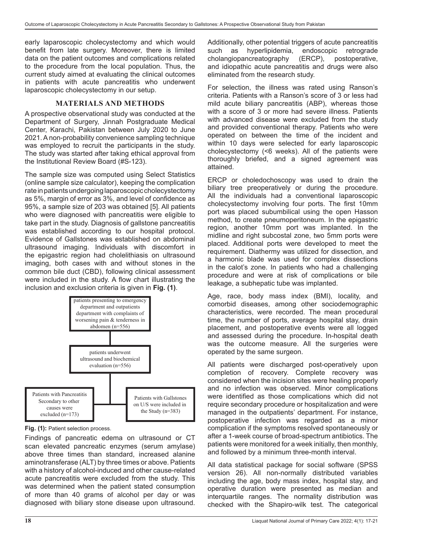early laparoscopic cholecystectomy and which would benefit from late surgery. Moreover, there is limited data on the patient outcomes and complications related to the procedure from the local population. Thus, the current study aimed at evaluating the clinical outcomes in patients with acute pancreatitis who underwent laparoscopic cholecystectomy in our setup.

## **MATERIALS AND METHODS**

A prospective observational study was conducted at the Department of Surgery, Jinnah Postgraduate Medical Center, Karachi, Pakistan between July 2020 to June 2021. A non-probability convenience sampling technique was employed to recruit the participants in the study. The study was started after taking ethical approval from the Institutional Review Board (#S-123).

The sample size was computed using Select Statistics (online sample size calculator), keeping the complication rate in patients undergoing laparoscopic cholecystectomy as 5%, margin of error as 3%, and level of confidence as 95%, a sample size of 203 was obtained [5]. All patients who were diagnosed with pancreatitis were eligible to take part in the study. Diagnosis of gallstone pancreatitis was established according to our hospital protocol. Evidence of Gallstones was established on abdominal ultrasound imaging. Individuals with discomfort in the epigastric region had cholelithiasis on ultrasound imaging, both cases with and without stones in the common bile duct (CBD), following clinical assessment were included in the study. A flow chart illustrating the inclusion and exclusion criteria is given in **Fig. (1)**.



**Fig. (1):** Patient selection process.

Findings of pancreatic edema on ultrasound or CT scan elevated pancreatic enzymes (serum amylase) above three times than standard, increased alanine aminotransferase (ALT) by three times or above. Patients with a history of alcohol-induced and other cause-related acute pancreatitis were excluded from the study. This was determined when the patient stated consumption of more than 40 grams of alcohol per day or was diagnosed with biliary stone disease upon ultrasound.

Additionally, other potential triggers of acute pancreatitis such as hyperlipidemia, endoscopic retrograde cholangiopancreatography (ERCP), postoperative, and idiopathic acute pancreatitis and drugs were also eliminated from the research study.

For selection, the illness was rated using Ranson's criteria. Patients with a Ranson's score of 3 or less had mild acute biliary pancreatitis (ABP), whereas those with a score of 3 or more had severe illness. Patients with advanced disease were excluded from the study and provided conventional therapy. Patients who were operated on between the time of the incident and within 10 days were selected for early laparoscopic cholecystectomy (<6 weeks). All of the patients were thoroughly briefed, and a signed agreement was attained.

ERCP or choledochoscopy was used to drain the biliary tree preoperatively or during the procedure. All the individuals had a conventional laparoscopic cholecystectomy involving four ports. The first 10mm port was placed subumbilical using the open Hasson method, to create pneumoperitoneum. In the epigastric region, another 10mm port was implanted. In the midline and right subcostal zone, two 5mm ports were placed. Additional ports were developed to meet the requirement. Diathermy was utilized for dissection, and a harmonic blade was used for complex dissections in the calot's zone. In patients who had a challenging procedure and were at risk of complications or bile leakage, a subhepatic tube was implanted.

Age, race, body mass index (BMI), locality, and comorbid diseases, among other sociodemographic characteristics, were recorded. The mean procedural time, the number of ports, average hospital stay, drain placement, and postoperative events were all logged and assessed during the procedure. In-hospital death was the outcome measure. All the surgeries were operated by the same surgeon.

All patients were discharged post-operatively upon completion of recovery. Complete recovery was considered when the incision sites were healing properly and no infection was observed. Minor complications were identified as those complications which did not require secondary procedure or hospitalization and were managed in the outpatients' department. For instance, postoperative infection was regarded as a minor complication if the symptoms resolved spontaneously or after a 1-week course of broad-spectrum antibiotics. The patients were monitored for a week initially, then monthly, and followed by a minimum three-month interval.

All data statistical package for social software (SPSS version 26). All non-normally distributed variables including the age, body mass index, hospital stay, and operative duration were presented as median and interquartile ranges. The normality distribution was checked with the Shapiro-wilk test. The categorical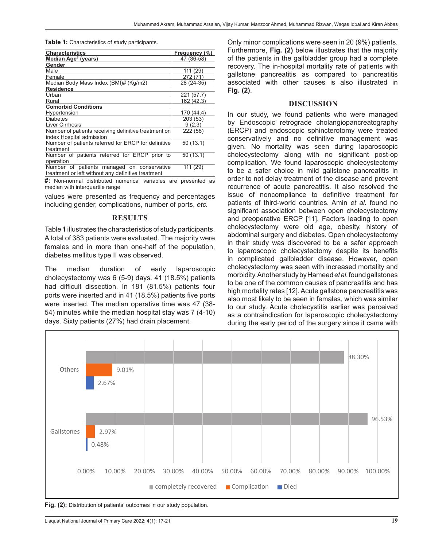**Table 1:** Characteristics of study participants.

| <b>Characteristics</b>                               | Frequency (%) |
|------------------------------------------------------|---------------|
| Median Age <sup>#</sup> (years)                      | 47 (36-58)    |
| Gender                                               |               |
| Male                                                 | 111 (29)      |
| Female                                               | 272 (71)      |
| Median Body Mass Index (BMI)# (Kg/m2)                | 28 (24-35)    |
| <b>Residence</b>                                     |               |
| Urban                                                | (57.7)<br>221 |
| Rural                                                | 162 (42.3)    |
| <b>Comorbid Conditions</b>                           |               |
| Hypertension                                         | 170 (44.4)    |
| <b>Diabetes</b>                                      | 203 (53)      |
| <b>Liver Cirrhosis</b>                               | 9(2.3)        |
| Number of patients receiving definitive treatment on | 222 (58)      |
| index Hospital admission                             |               |
| Number of patients referred for ERCP for definitive  | 50(13.1)      |
| treatment                                            |               |
| Number of patients referred for ERCP prior to        | 50(13.1)      |
| operation                                            |               |
| Number of patients managed on conservative           | 111 (29)      |
| treatment or left without any definitive treatment   |               |

**#:** Non-normal distributed numerical variables are presented as median with interquartile range

values were presented as frequency and percentages including gender, complications, number of ports, *etc.*

## **RESULTS**

Table **1** illustrates the characteristics of study participants. A total of 383 patients were evaluated. The majority were females and in more than one-half of the population, diabetes mellitus type II was observed.

The median duration of early laparoscopic cholecystectomy was 6 (5-9) days. 41 (18.5%) patients had difficult dissection. In 181 (81.5%) patients four ports were inserted and in 41 (18.5%) patients five ports were inserted. The median operative time was 47 (38- 54) minutes while the median hospital stay was 7 (4-10) days. Sixty patients (27%) had drain placement.

Only minor complications were seen in 20 (9%) patients. Furthermore, **Fig. (2)** below illustrates that the majority of the patients in the gallbladder group had a complete recovery. The in-hospital mortality rate of patients with gallstone pancreatitis as compared to pancreatitis associated with other causes is also illustrated in **Fig. (2)**.

## **DISCUSSION**

In our study, we found patients who were managed by Endoscopic retrograde cholangiopancreatography (ERCP) and endoscopic sphincterotomy were treated conservatively and no definitive management was given. No mortality was seen during laparoscopic cholecystectomy along with no significant post-op complication. We found laparoscopic cholecystectomy to be a safer choice in mild gallstone pancreatitis in order to not delay treatment of the disease and prevent recurrence of acute pancreatitis. It also resolved the issue of noncompliance to definitive treatment for patients of third-world countries. Amin *et al.* found no significant association between open cholecystectomy and preoperative ERCP [11]. Factors leading to open cholecystectomy were old age, obesity, history of abdominal surgery and diabetes. Open cholecystectomy in their study was discovered to be a safer approach to laparoscopic cholecystectomy despite its benefits in complicated gallbladder disease. However, open cholecystectomy was seen with increased mortality and morbidity. Another study by Hameed *et al.* found gallstones to be one of the common causes of pancreatitis and has high mortality rates [12]. Acute gallstone pancreatitis was also most likely to be seen in females, which was similar to our study. Acute cholecystitis earlier was perceived as a contraindication for laparoscopic cholecystectomy during the early period of the surgery since it came with



**Fig. (2):** Distribution of patients' outcomes in our study population.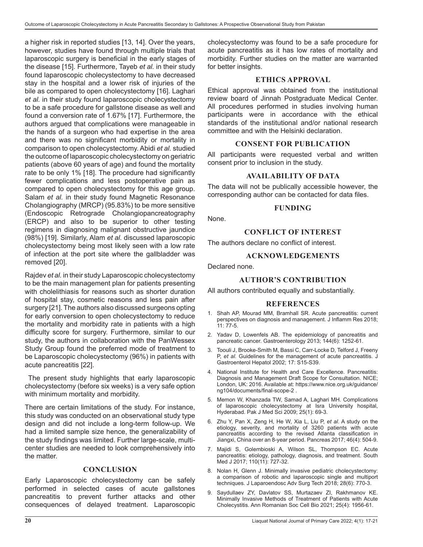a higher risk in reported studies [13, 14]. Over the years, however, studies have found through multiple trials that laparoscopic surgery is beneficial in the early stages of the disease [15]. Furthermore, Tayeb *et al.* in their study found laparoscopic cholecystectomy to have decreased stay in the hospital and a lower risk of injuries of the bile as compared to open cholecystectomy [16]. Laghari *et al.* in their study found laparoscopic cholecystectomy to be a safe procedure for gallstone disease as well and found a conversion rate of 1.67% [17]. Furthermore, the authors argued that complications were manageable in the hands of a surgeon who had expertise in the area and there was no significant morbidity or mortality in comparison to open cholecystectomy. Abidi *et al.* studied the outcome of laparoscopic cholecystectomy on geriatric patients (above 60 years of age) and found the mortality rate to be only 1% [18]. The procedure had significantly fewer complications and less postoperative pain as compared to open cholecystectomy for this age group. Salam *et al.* in their study found Magnetic Resonance Cholangiography (MRCP) (95.83%) to be more sensitive (Endoscopic Retrograde Cholangiopancreatography (ERCP) and also to be superior to other testing regimens in diagnosing malignant obstructive jaundice (98%) [19]. Similarly, Alam *et al.* discussed laparoscopic cholecystectomy being most likely seen with a low rate of infection at the port site where the gallbladder was removed [20].

Rajdev *et al.* in their study Laparoscopic cholecystectomy to be the main management plan for patients presenting with cholelithiasis for reasons such as shorter duration of hospital stay, cosmetic reasons and less pain after surgery [21]. The authors also discussed surgeons opting for early conversion to open cholecystectomy to reduce the mortality and morbidity rate in patients with a high difficulty score for surgery. Furthermore, similar to our study, the authors in collaboration with the PanWessex Study Group found the preferred mode of treatment to be Laparoscopic cholecystectomy (96%) in patients with acute pancreatitis [22].

 The present study highlights that early laparoscopic cholecystectomy (before six weeks) is a very safe option with minimum mortality and morbidity.

There are certain limitations of the study. For instance, this study was conducted on an observational study type design and did not include a long-term follow-up. We had a limited sample size hence, the generalizability of the study findings was limited. Further large-scale, multicenter studies are needed to look comprehensively into the matter.

## **CONCLUSION**

Early Laparoscopic cholecystectomy can be safely performed in selected cases of acute gallstones pancreatitis to prevent further attacks and other consequences of delayed treatment. Laparoscopic

cholecystectomy was found to be a safe procedure for acute pancreatitis as it has low rates of mortality and morbidity. Further studies on the matter are warranted for better insights.

## **ETHICS APPROVAL**

Ethical approval was obtained from the institutional review board of Jinnah Postgraduate Medical Center. All procedures performed in studies involving human participants were in accordance with the ethical standards of the institutional and/or national research committee and with the Helsinki declaration.

## **CONSENT FOR PUBLICATION**

All participants were requested verbal and written consent prior to inclusion in the study.

## **AVAILABILITY OF DATA**

The data will not be publically accessible however, the corresponding author can be contacted for data files.

#### **FUNDING**

None.

## **CONFLICT OF INTEREST**

The authors declare no conflict of interest.

## **ACKNOWLEDGEMENTS**

Declared none.

## **AUTHOR'S CONTRIBUTION**

All authors contributed equally and substantially.

## **REFERENCES**

- 1. Shah AP, Mourad MM, Bramhall SR. Acute pancreatitis: current perspectives on diagnosis and management. J Inflamm Res 2018; 11: 77-5.
- 2. Yadav D, Lowenfels AB. The epidemiology of pancreatitis and pancreatic cancer. Gastroenterology 2013; 144(6): 1252-61.
- 3. Toouli J, Brooke-Smith M, Bassi C, Carr-Locke D, Telford J, Freeny P, *et al.* Guidelines for the management of acute pancreatitis. J Gastroenterol Hepatol 2002; 17: S15-S39.
- 4. National Institute for Health and Care Excellence. Pancreatitis: Diagnosis and Management Draft Scope for Consultation. NICE; London, UK: 2016. Available at: https://www.nice.org.uk/guidance/ ng104/documents/final-scope-2 .
- 5. Memon W, Khanzada TW, Samad A, Laghari MH. Complications of laparoscopic cholecystectomy at Isra University hospital, Hyderabad. Pak J Med Sci 2009; 25(1): 69-3.
- 6. Zhu Y, Pan X, Zeng H, He W, Xia L, Liu P, *et al.* A study on the etiology, severity, and mortality of 3260 patients with acute pancreatitis according to the revised Atlanta classification in Jiangxi, China over an 8-year period. Pancreas 2017; 46(4): 504-9.
- 7. Majidi S, Golembioski A, Wilson SL, Thompson EC. Acute pancreatitis: etiology, pathology, diagnosis, and treatment. South Med J 2017; 110(11): 727-32.
- 8. Nolan H, Glenn J. Minimally invasive pediatric cholecystectomy: a comparison of robotic and laparoscopic single and multiport techniques. J Laparoendosc Adv Surg Tech 2018; 28(6): 770-3.
- 9. Saydullaev ZY, Davlatov SS, Murtazaev ZI, Rakhmanov KE. Minimally Invasive Methods of Treatment of Patients with Acute Cholecystitis. Ann Romanian Soc Cell Bio 2021; 25(4): 1956-61.